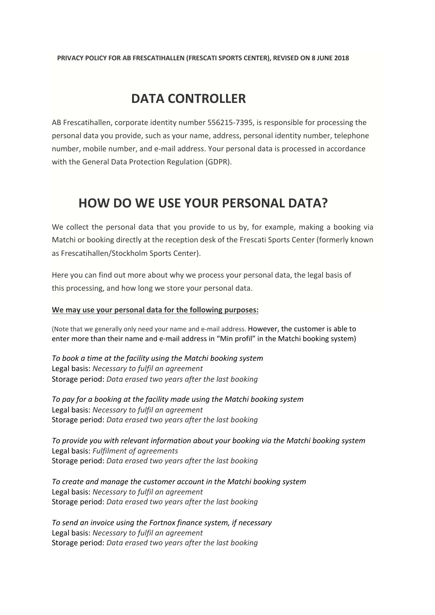**PRIVACY POLICY FOR AB FRESCATIHALLEN (FRESCATI SPORTS CENTER), REVISED ON 8 JUNE 2018**

# **DATA CONTROLLER**

AB Frescatihallen, corporate identity number 556215-7395, is responsible for processing the personal data you provide, such as your name, address, personal identity number, telephone number, mobile number, and e-mail address. Your personal data is processed in accordance with the General Data Protection Regulation (GDPR).

#### **HOW DO WE USE YOUR PERSONAL DATA?**

We collect the personal data that you provide to us by, for example, making a booking via Matchi or booking directly at the reception desk of the Frescati Sports Center (formerly known as Frescatihallen/Stockholm Sports Center).

Here you can find out more about why we process your personal data, the legal basis of this processing, and how long we store your personal data.

#### **We may use your personal data for the following purposes:**

(Note that we generally only need your name and e-mail address. However, the customer is able to enter more than their name and e-mail address in "Min profil" in the Matchi booking system)

*To book a time at the facility using the Matchi booking system* Legal basis: *Necessary to fulfil an agreement* Storage period: *Data erased two years after the last booking*

*To pay for a booking at the facility made using the Matchi booking system* Legal basis: *Necessary to fulfil an agreement* Storage period: *Data erased two years after the last booking*

*To provide you with relevant information about your booking via the Matchi booking system* Legal basis: *Fulfilment of agreements* Storage period: *Data erased two years after the last booking*

*To create and manage the customer account in the Matchi booking system* Legal basis: *Necessary to fulfil an agreement* Storage period: *Data erased two years after the last booking*

*To send an invoice using the Fortnox finance system, if necessary* Legal basis: *Necessary to fulfil an agreement* Storage period: *Data erased two years after the last booking*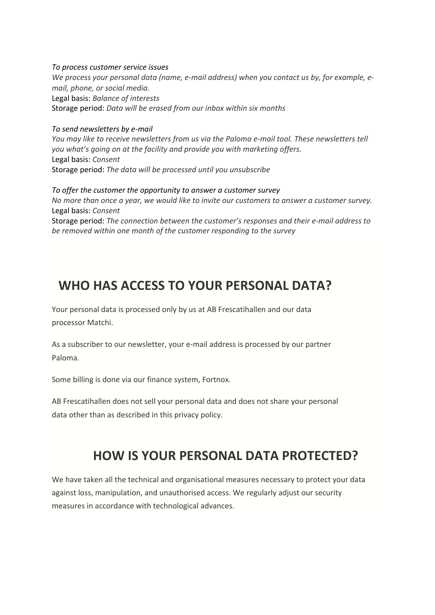*To process customer service issues We process your personal data (name, e-mail address) when you contact us by, for example, email, phone, or social media.* Legal basis: *Balance of interests* Storage period: *Data will be erased from our inbox within six months*

#### *To send newsletters by e-mail*

*You may like to receive newsletters from us via the Paloma e-mail tool. These newsletters tell you what's going on at the facility and provide you with marketing offers.* Legal basis: *Consent* Storage period: *The data will be processed until you unsubscribe*

*To offer the customer the opportunity to answer a customer survey No more than once a year, we would like to invite our customers to answer a customer survey.* Legal basis: *Consent* Storage period: *The connection between the customer's responses and their e-mail address to be removed within one month of the customer responding to the survey*

## **WHO HAS ACCESS TO YOUR PERSONAL DATA?**

Your personal data is processed only by us at AB Frescatihallen and our data processor Matchi.

As a subscriber to our newsletter, your e-mail address is processed by our partner Paloma.

Some billing is done via our finance system, Fortnox.

AB Frescatihallen does not sell your personal data and does not share your personal data other than as described in this privacy policy.

## **HOW IS YOUR PERSONAL DATA PROTECTED?**

We have taken all the technical and organisational measures necessary to protect your data against loss, manipulation, and unauthorised access. We regularly adjust our security measures in accordance with technological advances.